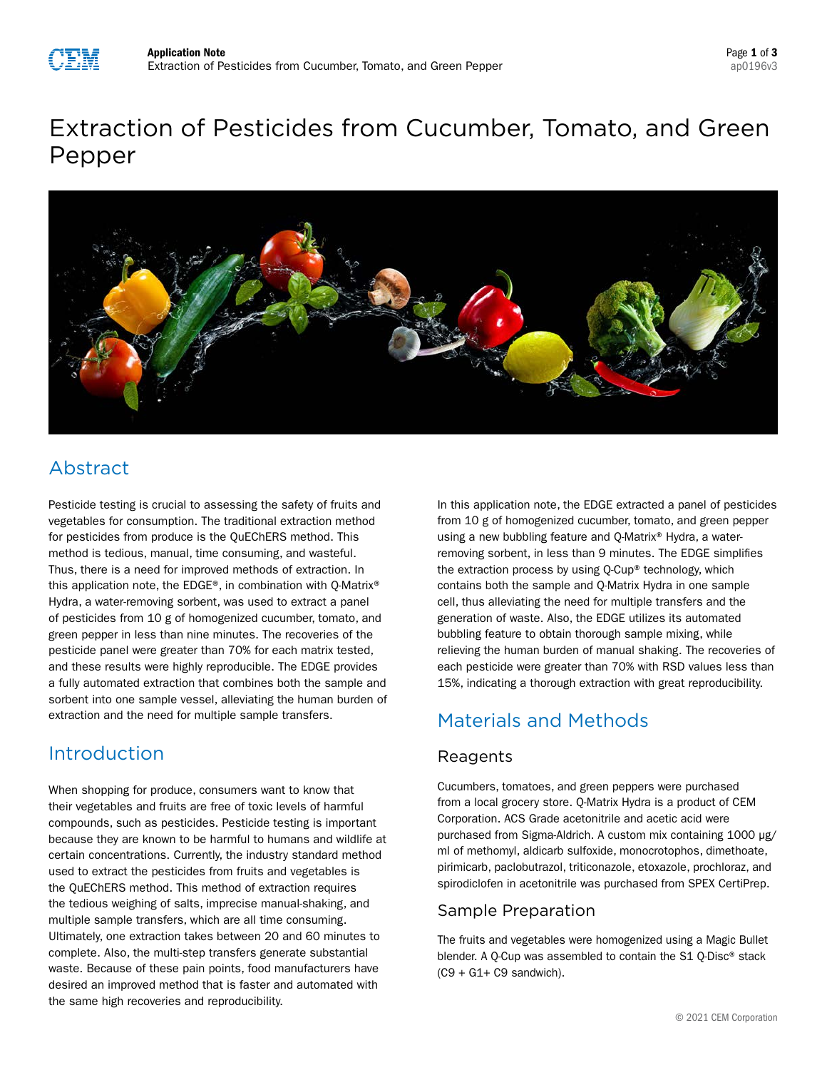

# Extraction of Pesticides from Cucumber, Tomato, and Green Pepper



# Abstract

Pesticide testing is crucial to assessing the safety of fruits and vegetables for consumption. The traditional extraction method for pesticides from produce is the QuEChERS method. This method is tedious, manual, time consuming, and wasteful. Thus, there is a need for improved methods of extraction. In this application note, the EDGE®, in combination with Q-Matrix® Hydra, a water-removing sorbent, was used to extract a panel of pesticides from 10 g of homogenized cucumber, tomato, and green pepper in less than nine minutes. The recoveries of the pesticide panel were greater than 70% for each matrix tested, and these results were highly reproducible. The EDGE provides a fully automated extraction that combines both the sample and sorbent into one sample vessel, alleviating the human burden of extraction and the need for multiple sample transfers.

## Introduction

When shopping for produce, consumers want to know that their vegetables and fruits are free of toxic levels of harmful compounds, such as pesticides. Pesticide testing is important because they are known to be harmful to humans and wildlife at certain concentrations. Currently, the industry standard method used to extract the pesticides from fruits and vegetables is the QuEChERS method. This method of extraction requires the tedious weighing of salts, imprecise manual-shaking, and multiple sample transfers, which are all time consuming. Ultimately, one extraction takes between 20 and 60 minutes to complete. Also, the multi-step transfers generate substantial waste. Because of these pain points, food manufacturers have desired an improved method that is faster and automated with the same high recoveries and reproducibility.

In this application note, the EDGE extracted a panel of pesticides from 10 g of homogenized cucumber, tomato, and green pepper using a new bubbling feature and Q-Matrix® Hydra, a waterremoving sorbent, in less than 9 minutes. The EDGE simplifies the extraction process by using Q-Cup® technology, which contains both the sample and Q-Matrix Hydra in one sample cell, thus alleviating the need for multiple transfers and the generation of waste. Also, the EDGE utilizes its automated bubbling feature to obtain thorough sample mixing, while relieving the human burden of manual shaking. The recoveries of each pesticide were greater than 70% with RSD values less than 15%, indicating a thorough extraction with great reproducibility.

# Materials and Methods

### Reagents

Cucumbers, tomatoes, and green peppers were purchased from a local grocery store. Q-Matrix Hydra is a product of CEM Corporation. ACS Grade acetonitrile and acetic acid were purchased from Sigma-Aldrich. A custom mix containing 1000 µg/ ml of methomyl, aldicarb sulfoxide, monocrotophos, dimethoate, pirimicarb, paclobutrazol, triticonazole, etoxazole, prochloraz, and spirodiclofen in acetonitrile was purchased from SPEX CertiPrep.

### Sample Preparation

The fruits and vegetables were homogenized using a Magic Bullet blender. A Q-Cup was assembled to contain the S1 Q-Disc® stack  $(C9 + G1 + C9$  sandwich).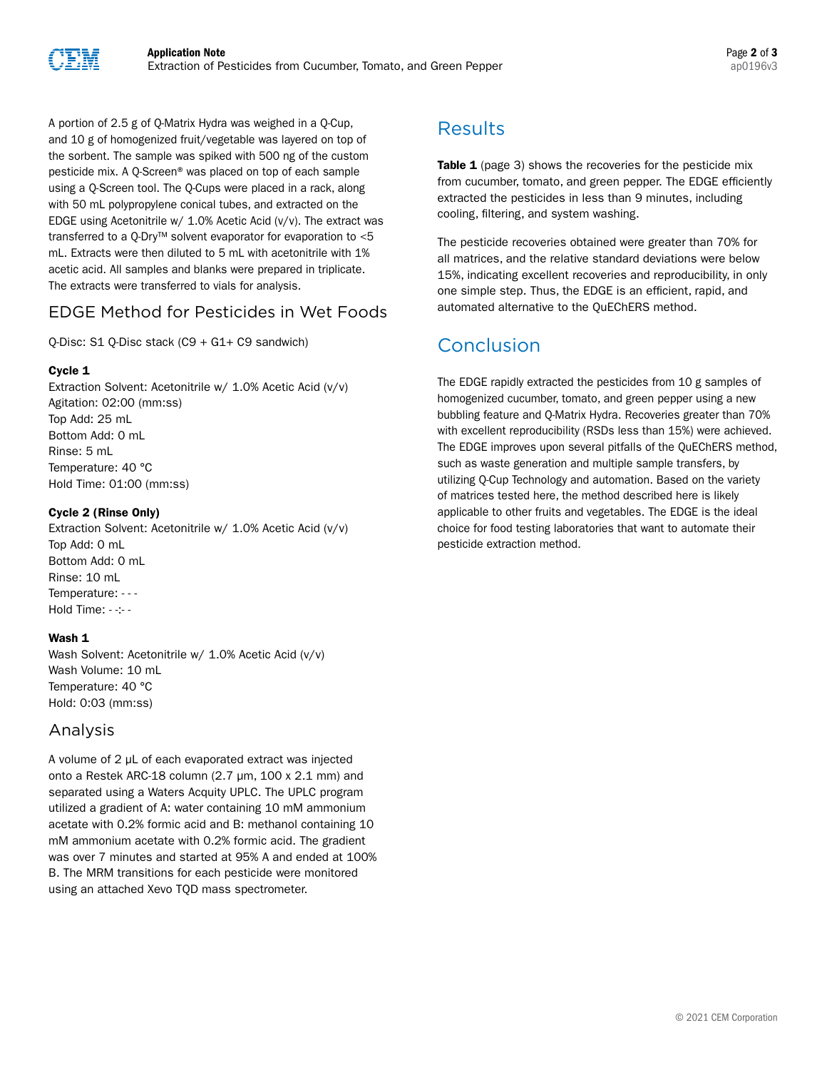

A portion of 2.5 g of Q-Matrix Hydra was weighed in a Q-Cup, and 10 g of homogenized fruit/vegetable was layered on top of the sorbent. The sample was spiked with 500 ng of the custom pesticide mix. A Q-Screen® was placed on top of each sample using a Q-Screen tool. The Q-Cups were placed in a rack, along with 50 mL polypropylene conical tubes, and extracted on the EDGE using Acetonitrile w/ 1.0% Acetic Acid (v/v). The extract was transferred to a Q-Dry™ solvent evaporator for evaporation to <5 mL. Extracts were then diluted to 5 mL with acetonitrile with 1% acetic acid. All samples and blanks were prepared in triplicate. The extracts were transferred to vials for analysis.

### EDGE Method for Pesticides in Wet Foods

Q-Disc: S1 Q-Disc stack (C9 + G1+ C9 sandwich)

### Cycle 1

Extraction Solvent: Acetonitrile w/ 1.0% Acetic Acid (v/v) Agitation: 02:00 (mm:ss) Top Add: 25 mL Bottom Add: 0 mL Rinse: 5 mL Temperature: 40 °C Hold Time: 01:00 (mm:ss)

### Cycle 2 (Rinse Only)

Extraction Solvent: Acetonitrile w/ 1.0% Acetic Acid (v/v) Top Add: 0 mL Bottom Add: 0 mL Rinse: 10 mL Temperature: - - - Hold Time: - -:- -

### Wash 1

Wash Solvent: Acetonitrile w/ 1.0% Acetic Acid (v/v) Wash Volume: 10 mL Temperature: 40 °C Hold: 0:03 (mm:ss)

### Analysis

A volume of 2 µL of each evaporated extract was injected onto a Restek ARC-18 column (2.7 μm, 100 x 2.1 mm) and separated using a Waters Acquity UPLC. The UPLC program utilized a gradient of A: water containing 10 mM ammonium acetate with 0.2% formic acid and B: methanol containing 10 mM ammonium acetate with 0.2% formic acid. The gradient was over 7 minutes and started at 95% A and ended at 100% B. The MRM transitions for each pesticide were monitored using an attached Xevo TQD mass spectrometer.

# Results

Table 1 (page 3) shows the recoveries for the pesticide mix from cucumber, tomato, and green pepper. The EDGE efficiently extracted the pesticides in less than 9 minutes, including cooling, filtering, and system washing.

The pesticide recoveries obtained were greater than 70% for all matrices, and the relative standard deviations were below 15%, indicating excellent recoveries and reproducibility, in only one simple step. Thus, the EDGE is an efficient, rapid, and automated alternative to the QuEChERS method.

## Conclusion

The EDGE rapidly extracted the pesticides from 10 g samples of homogenized cucumber, tomato, and green pepper using a new bubbling feature and Q-Matrix Hydra. Recoveries greater than 70% with excellent reproducibility (RSDs less than 15%) were achieved. The EDGE improves upon several pitfalls of the QuEChERS method, such as waste generation and multiple sample transfers, by utilizing Q-Cup Technology and automation. Based on the variety of matrices tested here, the method described here is likely applicable to other fruits and vegetables. The EDGE is the ideal choice for food testing laboratories that want to automate their pesticide extraction method.